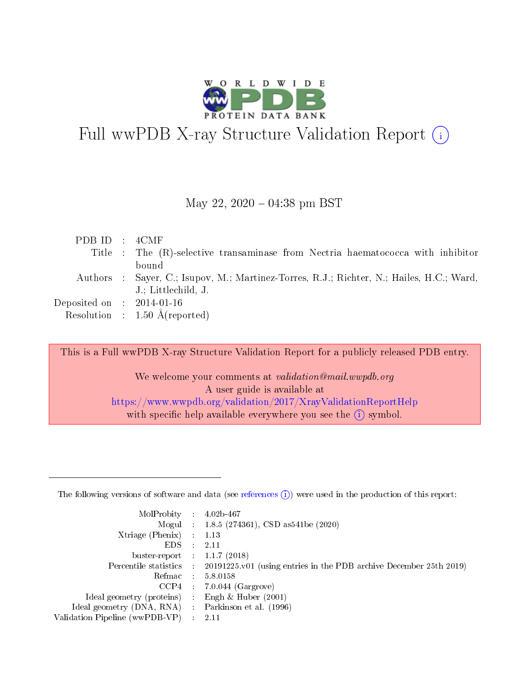

# Full wwPDB X-ray Structure Validation Report  $(i)$

#### May 22,  $2020 - 04:38$  pm BST

| PDB ID : $4CMF$                |                                                                                          |
|--------------------------------|------------------------------------------------------------------------------------------|
|                                | Title : The (R)-selective transaminase from Nectria haematococca with inhibitor          |
|                                | bound                                                                                    |
|                                | Authors : Sayer, C.; Isupov, M.; Martinez-Torres, R.J.; Richter, N.; Hailes, H.C.; Ward, |
|                                | J.; Littlechild, J.                                                                      |
| Deposited on $\;$ : 2014-01-16 |                                                                                          |
|                                | Resolution : $1.50 \text{ Å}$ (reported)                                                 |

This is a Full wwPDB X-ray Structure Validation Report for a publicly released PDB entry.

We welcome your comments at validation@mail.wwpdb.org A user guide is available at <https://www.wwpdb.org/validation/2017/XrayValidationReportHelp> with specific help available everywhere you see the  $(i)$  symbol.

The following versions of software and data (see [references](https://www.wwpdb.org/validation/2017/XrayValidationReportHelp#references)  $(1)$ ) were used in the production of this report:

| MolProbity :                   |               | $4.02b - 467$                                                               |
|--------------------------------|---------------|-----------------------------------------------------------------------------|
|                                |               | Mogul : $1.8.5$ (274361), CSD as 541be (2020)                               |
| Xtriage (Phenix)               | $\mathcal{L}$ | 1.13                                                                        |
| EDS.                           |               | 2.11                                                                        |
| buster-report : $1.1.7$ (2018) |               |                                                                             |
| Percentile statistics :        |               | $20191225 \text{v}01$ (using entries in the PDB archive December 25th 2019) |
| Refmac :                       |               | 5.8.0158                                                                    |
| CCP4                           |               | $7.0.044$ (Gargrove)                                                        |
| Ideal geometry (proteins) :    |               | Engh $\&$ Huber (2001)                                                      |
| Ideal geometry (DNA, RNA) :    |               | Parkinson et al. (1996)                                                     |
| Validation Pipeline (wwPDB-VP) | $\mathcal{L}$ | 2.11                                                                        |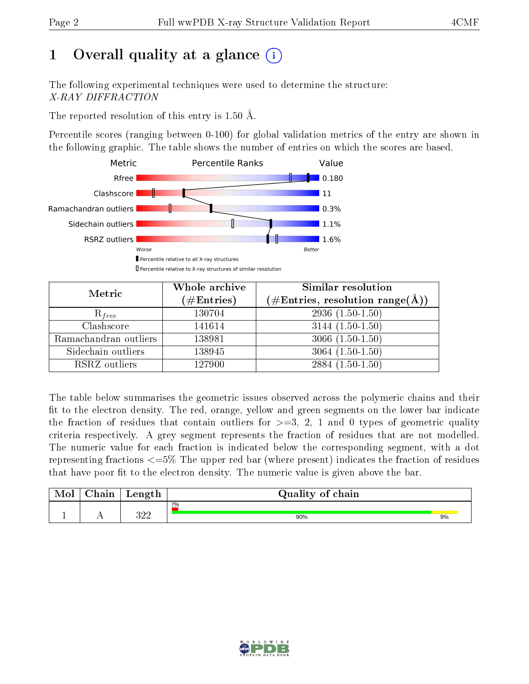# 1 [O](https://www.wwpdb.org/validation/2017/XrayValidationReportHelp#overall_quality)verall quality at a glance  $(i)$

The following experimental techniques were used to determine the structure: X-RAY DIFFRACTION

The reported resolution of this entry is 1.50 Å.

Percentile scores (ranging between 0-100) for global validation metrics of the entry are shown in the following graphic. The table shows the number of entries on which the scores are based.



| Metric                | Whole archive<br>$(\#\text{Entries})$ | Similar resolution<br>$(\#\text{Entries},\,\text{resolution}\,\,\text{range}(\textup{\AA}))$ |
|-----------------------|---------------------------------------|----------------------------------------------------------------------------------------------|
| $R_{free}$            | 130704                                | $2936(1.50-1.50)$                                                                            |
| Clashscore            | 141614                                | $3144(1.50-1.50)$                                                                            |
| Ramachandran outliers | 138981                                | $3066(1.50-1.50)$                                                                            |
| Sidechain outliers    | 138945                                | $3064(1.50-1.50)$                                                                            |
| RSRZ outliers         | 127900                                | $2884(1.50-1.50)$                                                                            |

The table below summarises the geometric issues observed across the polymeric chains and their fit to the electron density. The red, orange, yellow and green segments on the lower bar indicate the fraction of residues that contain outliers for  $>=3, 2, 1$  and 0 types of geometric quality criteria respectively. A grey segment represents the fraction of residues that are not modelled. The numeric value for each fraction is indicated below the corresponding segment, with a dot representing fractions  $\epsilon=5\%$  The upper red bar (where present) indicates the fraction of residues that have poor fit to the electron density. The numeric value is given above the bar.

| Mol | $\cap$ hain | Length      | Quality of chain |    |
|-----|-------------|-------------|------------------|----|
|     |             |             | 2%               |    |
|     |             | າດດ<br>ے ∟ر | 90%              | 9% |

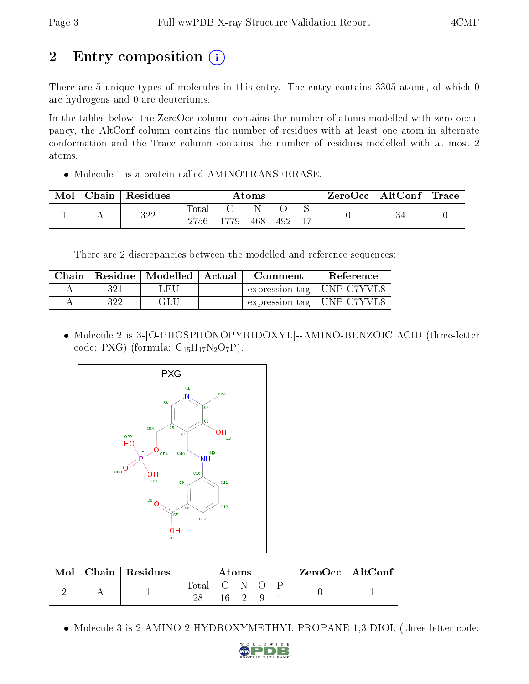# 2 Entry composition  $\left( \cdot \right)$

There are 5 unique types of molecules in this entry. The entry contains 3305 atoms, of which 0 are hydrogens and 0 are deuteriums.

In the tables below, the ZeroOcc column contains the number of atoms modelled with zero occupancy, the AltConf column contains the number of residues with at least one atom in alternate conformation and the Trace column contains the number of residues modelled with at most 2 atoms.

• Molecule 1 is a protein called AMINOTRANSFERASE.

| Mol | Chain | Residues |                          |     | Atoms |     |    | $\mathsf{ZeroOcc} \mid \mathsf{AltConf} \mid \mathsf{C}$ | $\bf{Trace}$ |
|-----|-------|----------|--------------------------|-----|-------|-----|----|----------------------------------------------------------|--------------|
|     |       | 322      | $\mathrm{Total}$<br>2756 | 779 | 468   | 492 | 17 |                                                          |              |

There are 2 discrepancies between the modelled and reference sequences:

| Chain |     | Residue   Modelled   Actual |                          | Comment | Reference                   |
|-------|-----|-----------------------------|--------------------------|---------|-----------------------------|
|       | 321 | - FH                        | <b>Contract Contract</b> |         | expression tag   UNP C7YVL8 |
|       | 322 | GLU                         | $\sim$                   |         | expression tag   UNP C7YVL8 |

 Molecule 2 is 3-[O-PHOSPHONOPYRIDOXYL]--AMINO-BENZOIC ACID (three-letter code: PXG) (formula:  $C_{15}H_{17}N_2O_7P$ ).



| Mol | $\top$ Chain   Residues | Atoms       |  |  |  | $ZeroOcc \mid AltConf \mid$ |  |  |
|-----|-------------------------|-------------|--|--|--|-----------------------------|--|--|
|     |                         | Total C N O |  |  |  |                             |  |  |

Molecule 3 is 2-AMINO-2-HYDROXYMETHYL-PROPANE-1,3-DIOL (three-letter code:

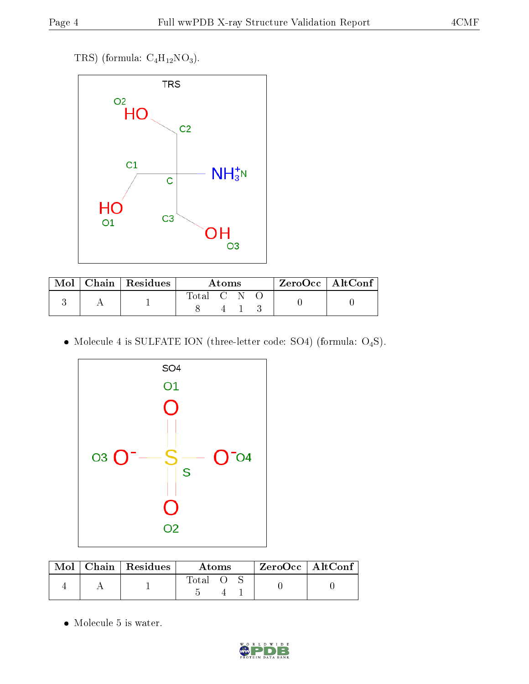TRS) (formula:  $C_4H_{12}NO_3$ ).



| Mol | $\mid$ Chain $\mid$ Residues | Atoms     |  |  | $^{\shortmid}$ ZeroOcc   AltConf $_{1}$ |  |
|-----|------------------------------|-----------|--|--|-----------------------------------------|--|
|     |                              | Total C N |  |  |                                         |  |

 $\bullet$  Molecule 4 is SULFATE ION (three-letter code: SO4) (formula: O<sub>4</sub>S).



|  | $\text{Mol}$   Chain   Residues | Atoms |  |  | $ZeroOcc$   AltConf. |
|--|---------------------------------|-------|--|--|----------------------|
|  |                                 | Total |  |  |                      |

 $\bullet\,$  Molecule 5 is water.

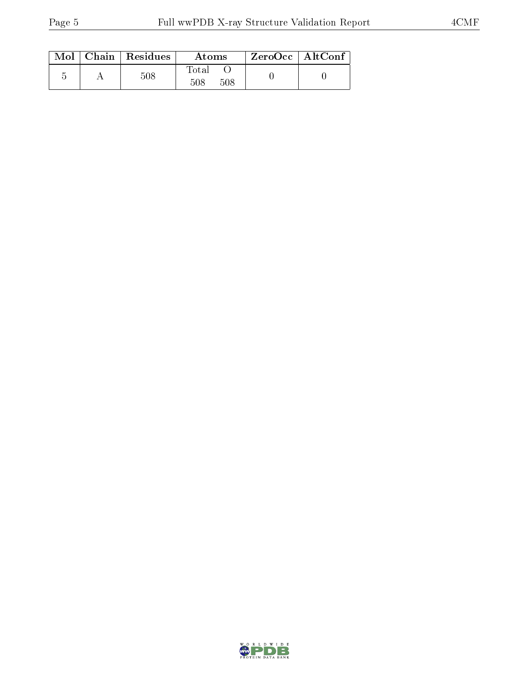|  | $Mol$   Chain   Residues | Atoms               | ZeroOcc   AltConf |  |
|--|--------------------------|---------------------|-------------------|--|
|  | 508                      | Total<br>508<br>508 |                   |  |

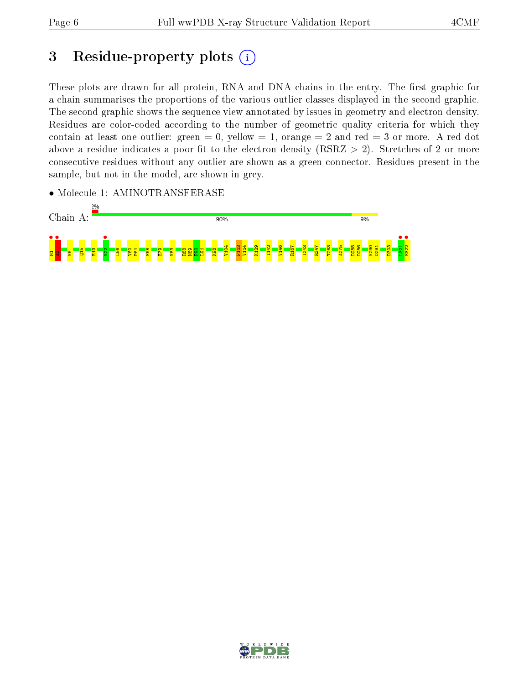## 3 Residue-property plots  $(i)$

These plots are drawn for all protein, RNA and DNA chains in the entry. The first graphic for a chain summarises the proportions of the various outlier classes displayed in the second graphic. The second graphic shows the sequence view annotated by issues in geometry and electron density. Residues are color-coded according to the number of geometric quality criteria for which they contain at least one outlier: green  $= 0$ , yellow  $= 1$ , orange  $= 2$  and red  $= 3$  or more. A red dot above a residue indicates a poor fit to the electron density (RSRZ  $> 2$ ). Stretches of 2 or more consecutive residues without any outlier are shown as a green connector. Residues present in the sample, but not in the model, are shown in grey.

• Molecule 1: AMINOTRANSFERASE



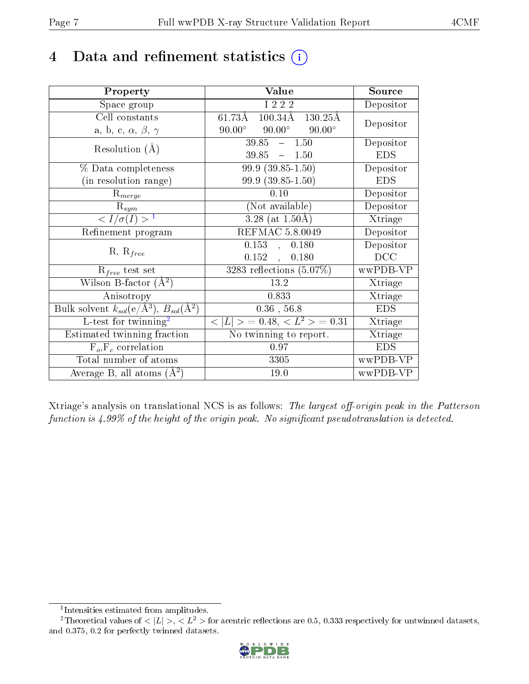## 4 Data and refinement statistics  $(i)$

| Property                                                         | Value                                           | Source                       |
|------------------------------------------------------------------|-------------------------------------------------|------------------------------|
| Space group                                                      | I 2 2 2                                         | Depositor                    |
| Cell constants                                                   | $100.34\text{\AA}$ 130.25Å<br>$61.73\text{\AA}$ | Depositor                    |
| a, b, c, $\alpha$ , $\beta$ , $\gamma$                           | $90.00^\circ$<br>$90.00^\circ$<br>$90.00^\circ$ |                              |
| Resolution $(A)$                                                 | $39.85 - 1.50$                                  | Depositor                    |
|                                                                  | $39.85 - 1.50$                                  | <b>EDS</b>                   |
| % Data completeness                                              | $99.9(39.85-1.50)$                              | Depositor                    |
| (in resolution range)                                            | 99.9 (39.85-1.50)                               | <b>EDS</b>                   |
| $R_{merge}$                                                      | 0.10                                            | Depositor                    |
| $\mathrm{R}_{sym}$                                               | (Not available)                                 | Depositor                    |
| $\sqrt{I/\sigma(I)} > 1$                                         | $3.28$ (at $1.50\text{\AA}$ )                   | Xtriage                      |
| Refinement program                                               | REFMAC 5.8.0049                                 | Depositor                    |
|                                                                  | 0.153<br>, 0.180                                | Depositor                    |
| $R, R_{free}$                                                    | $0.152$ ,<br>0.180                              | DCC                          |
| $R_{free}$ test set                                              | 3283 reflections $(5.07\%)$                     | wwPDB-VP                     |
| Wilson B-factor $(A^2)$                                          | 13.2                                            | Xtriage                      |
| Anisotropy                                                       | 0.833                                           | Xtriage                      |
| Bulk solvent $k_{sol}(\text{e}/\text{A}^3), B_{sol}(\text{A}^2)$ | $0.36$ , 56.8                                   | <b>EDS</b>                   |
| $L$ -test for twinning <sup>2</sup>                              | $< L >$ = 0.48, $< L2$ > = 0.31                 | Xtriage                      |
| Estimated twinning fraction                                      | No twinning to report.                          | $\overline{\text{X}}$ triage |
| $F_o, F_c$ correlation                                           | 0.97                                            | <b>EDS</b>                   |
| Total number of atoms                                            | 3305                                            | wwPDB-VP                     |
| Average B, all atoms $(A^2)$                                     | 19.0                                            | wwPDB-VP                     |

Xtriage's analysis on translational NCS is as follows: The largest off-origin peak in the Patterson function is  $4.99\%$  of the height of the origin peak. No significant pseudotranslation is detected.

<sup>&</sup>lt;sup>2</sup>Theoretical values of  $\langle |L| \rangle$ ,  $\langle L^2 \rangle$  for acentric reflections are 0.5, 0.333 respectively for untwinned datasets, and 0.375, 0.2 for perfectly twinned datasets.



<span id="page-6-1"></span><span id="page-6-0"></span><sup>1</sup> Intensities estimated from amplitudes.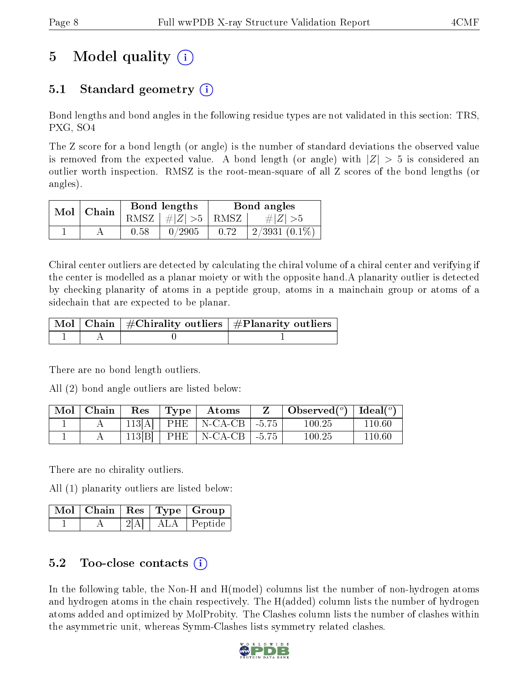# 5 Model quality  $(i)$

### 5.1 Standard geometry (i)

Bond lengths and bond angles in the following residue types are not validated in this section: TRS, PXG, SO4

The Z score for a bond length (or angle) is the number of standard deviations the observed value is removed from the expected value. A bond length (or angle) with  $|Z| > 5$  is considered an outlier worth inspection. RMSZ is the root-mean-square of all Z scores of the bond lengths (or angles).

| $Mol$   Chain |      | Bond lengths                            | Bond angles |                 |  |
|---------------|------|-----------------------------------------|-------------|-----------------|--|
|               |      | RMSZ $\mid \#  Z  > 5 \mid$ RMSZ $\mid$ |             | $\# Z  > 5$     |  |
|               | 0.58 | 0/2905                                  | 0.72        | $2/3931(0.1\%)$ |  |

Chiral center outliers are detected by calculating the chiral volume of a chiral center and verifying if the center is modelled as a planar moiety or with the opposite hand.A planarity outlier is detected by checking planarity of atoms in a peptide group, atoms in a mainchain group or atoms of a sidechain that are expected to be planar.

|  | $\mid$ Mol $\mid$ Chain $\mid$ #Chirality outliers $\mid$ #Planarity outliers $\mid$ |
|--|--------------------------------------------------------------------------------------|
|  |                                                                                      |

There are no bond length outliers.

All (2) bond angle outliers are listed below:

| Mol   Chain | Res   | Type | Atoms                            | Observed( $^{\circ}$ )   Ideal( $^{\circ}$ ) |            |
|-------------|-------|------|----------------------------------|----------------------------------------------|------------|
|             |       |      | $113[A]$   PHE   N-CA-CB   -5.75 | 100.25                                       | 110.60     |
|             | 113 B |      | $ $ PHE $ $ N-CA-CB $ $ -5.75    | 100.25                                       | $110.60\,$ |

There are no chirality outliers.

All (1) planarity outliers are listed below:

|  |     | $\sqrt{\text{Mol}}$   Chain   Res   Type   Group |
|--|-----|--------------------------------------------------|
|  | ALA | Peptide                                          |

### 5.2 Too-close contacts (i)

In the following table, the Non-H and H(model) columns list the number of non-hydrogen atoms and hydrogen atoms in the chain respectively. The H(added) column lists the number of hydrogen atoms added and optimized by MolProbity. The Clashes column lists the number of clashes within the asymmetric unit, whereas Symm-Clashes lists symmetry related clashes.

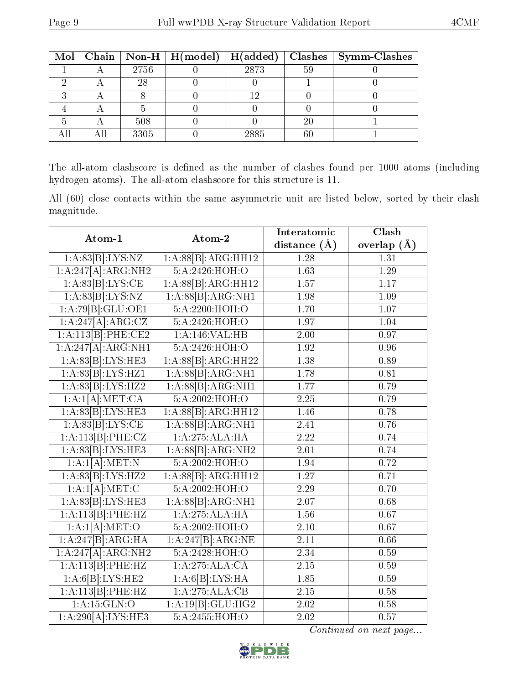|  |      | Mol   Chain   Non-H   $H (model)$   $H (added)$ |      |    | Clashes   Symm-Clashes |
|--|------|-------------------------------------------------|------|----|------------------------|
|  | 2756 |                                                 | 2873 | 59 |                        |
|  | 28   |                                                 |      |    |                        |
|  |      |                                                 |      |    |                        |
|  |      |                                                 |      |    |                        |
|  | 508  |                                                 |      | 20 |                        |
|  | 3305 |                                                 | 2885 |    |                        |

The all-atom clashscore is defined as the number of clashes found per 1000 atoms (including hydrogen atoms). The all-atom clashscore for this structure is 11.

All (60) close contacts within the same asymmetric unit are listed below, sorted by their clash magnitude.

| Atom-1                         | Atom-2                                    | Interatomic       | Clash           |
|--------------------------------|-------------------------------------------|-------------------|-----------------|
|                                |                                           | distance $(A)$    | overlap $(\AA)$ |
| 1:A:83[B]:LYS:NZ               | 1:A:88[B]:ARG:HH12                        | 1.28              | 1.31            |
| 1:A:247[A]:ARG:NH2             | 5:A:2426:HOH:O                            | 1.63              | 1.29            |
| 1:A:83[B]:LYS:CE               | 1:A:88[B]:ARG:HH12                        | $\overline{1.57}$ | 1.17            |
| 1:A:83[B]:LYS:NZ               | $1:A:88[\overline{B}]\overline{:ARG:NH1}$ | 1.98              | 1.09            |
| 1:A:79[B]:GLU:OE1              | 5:A:2200:HOH:O                            | $\overline{1.70}$ | 1.07            |
| $1:A:247\overline{[A]:ARG:CZ}$ | 5:A:2426:HOH:O                            | 1.97              | 1.04            |
| 1:A:113[B]:PHE:CE2             | 1:A:146:VAL:HB                            | 2.00              | 0.97            |
| 1:A:247[A]:ARG:NH1             | 5:A:2426:HOH:O                            | 1.92              | 0.96            |
| 1:A:83[B]:LYS:HE3              | 1:A:88[B]:ARG:HH22                        | 1.38              | 0.89            |
| 1:A:83[B]:LYS:HZ1              | 1:A:88[B]:ARG:NH1                         | 1.78              | 0.81            |
| 1:A:83[B]:LYS:HZ2              | 1:A:88[B]:ARG:NH1                         | 1.77              | 0.79            |
| 1:A:1[A]:MET:CA                | 5:A:2002:HOH:O                            | 2.25              | 0.79            |
| 1:A:83[B]:LYS:HE3              | 1:A:88[B]:ARG:HH12                        | 1.46              | 0.78            |
| 1:A:83[B]:LYS:CE               | 1:A:88[B]:ARG:NH1                         | 2.41              | 0.76            |
| 1:A:113[B]:PHE:CZ              | 1:A:275:ALA:HA                            | 2.22              | 0.74            |
| 1:A:83[B]:LYS:HE3              | 1:A:88[B]:ARG:NH2                         | 2.01              | 0.74            |
| 1:A:1[A].MET:N                 | 5:A:2002:HOH:O                            | 1.94              | 0.72            |
| 1:A:83[B]:LYS:HZ2              | 1:A:88[B]:ARG:HH12                        | 1.27              | 0.71            |
| 1:A:1[A]:MET:C                 | 5:A:2002:HOH:O                            | 2.29              | 0.70            |
| 1:A:83[B]:LYS:HE3              | 1:A:88[B]:ARG:NH1                         | 2.07              | 0.68            |
| 1:A:113[B]:PHE:HZ              | 1:A:275:ALA:HA                            | 1.56              | 0.67            |
| 1:A:1[A].MET:O                 | 5:A:2002:HOH:O                            | 2.10              | 0.67            |
| 1:A:247[B]:ARG:HA              | 1:A:247[B]:ARG:NE                         | 2.11              | 0.66            |
| 1:A:247[A]:ARG:NH2             | 5:A:2428:HOH:O                            | $\overline{2.34}$ | 0.59            |
| 1:A:113[B]:PHE:HZ              | 1:A:275:ALA:CA                            | 2.15              | 0.59            |
| 1:A:6[B]:LYS:HE2               | 1:A:6[B]:LYS:HA                           | 1.85              | 0.59            |
| 1:A:113[B]:PHE:HZ              | 1:A:275:ALA:CB                            | 2.15              | 0.58            |
| 1: A:15: GLN:O                 | 1:A:19[B]:GLU:HG2                         | 2.02              | 0.58            |
| 1:A:290[A]:LYS:HE3             | $5:A:\overline{2455:HOH O}$               | $\overline{2.02}$ | 0.57            |

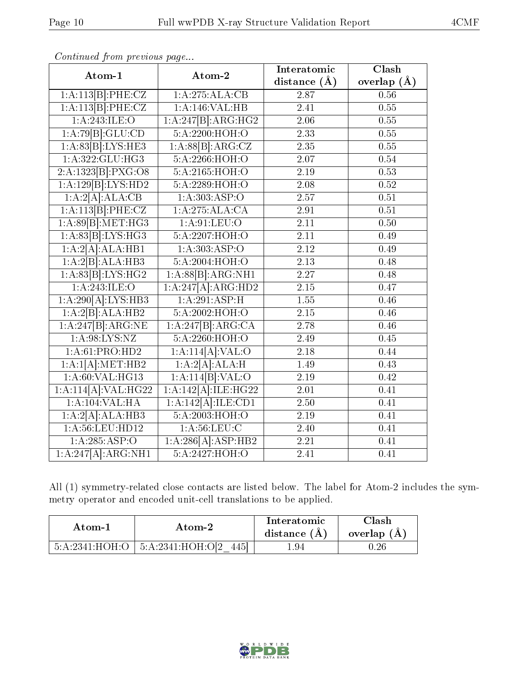| Atom-1                           | Atom-2                                 | Interatomic       | Clash             |
|----------------------------------|----------------------------------------|-------------------|-------------------|
|                                  |                                        | distance $(\AA)$  | overlap $(\AA)$   |
| 1:A:113[B]:PHE:CZ                | 1:A:275:ALA:CB                         | 2.87              | 0.56              |
| 1:A:113[B]:PHE:CZ                | 1:A:146:VAL:HB                         | $\overline{2.41}$ | 0.55              |
| 1:A:243:ILE:O                    | $1:A:247\overline{B1:ARG:HG2}$         | $2.06\,$          | 0.55              |
| 1:A:79[B]:GLU:CD                 | 5:A:2200:HOH:O                         | 2.33              | 0.55              |
| 1:A:83[B]:LYS:HE3                | 1:A:88[B]:ARG:CZ                       | 2.35              | 0.55              |
| 1:A:322:GLU:HG3                  | 5:A:2266:H <sub>0</sub> H <sub>1</sub> | 2.07              | 0.54              |
| 2:A:1323[B]:PXG:O8               | 5:A:2165:HOH:O                         | 2.19              | 0.53              |
| 1:A:129[B]:LYS:HD2               | 5:A:2289:HOH:O                         | 2.08              | 0.52              |
| 1:A:2[A]:ALA:CB                  | $1:A:303.\overline{ASP:O}$             | 2.57              | $\overline{0.51}$ |
| 1:A:113[B]:PHE:CZ                | 1:A:275:ALA:CA                         | 2.91              | 0.51              |
| 1:A:89[B]:MET:HG3                | 1: A:91: LEU:O                         | 2.11              | 0.50              |
| 1:A:83[B]:LYS:HG3                | 5:A:2207:HOH:O                         | 2.11              | 0.49              |
| 1:A:2[A].ALA:HB1                 | 1:A:303:ASP:O                          | 2.12              | 0.49              |
| 1:A:2[B]:ALA:HB3                 | 5:A:2004:HOH:O                         | 2.13              | 0.48              |
| 1:A:83[B]:LYS:HG2                | 1:A:88[B]:ARG:NH1                      | 2.27              | 0.48              |
| 1:A:243:ILE:O                    | 1:A:247[A]:ARG:HD2                     | 2.15              | 0.47              |
| 1:A:290[A]:LYS:HB3               | 1:A:291:ASP:H                          | 1.55              | 0.46              |
| 1:A:2[B]:ALA:HB2                 | 5:A:2002:HOH:O                         | 2.15              | 0.46              |
| 1:A:247[B]:ARG:NE                | 1:A:247[B]:ARG:CA                      | 2.78              | 0.46              |
| 1: A:98: LYS: NZ                 | 5:A:2260:HOH:O                         | 2.49              | 0.45              |
| 1:A:61:PRO:HD2                   | 1:A:114[A]:VAL:O                       | 2.18              | 0.44              |
| 1:A:1[A]:MET:HB2                 | 1:A:2[A]:ALA:H                         | 1.49              | 0.43              |
| 1:A:60:VAL:HG13                  | 1:A:114[B]:VAL:O                       | 2.19              | 0.42              |
| $1:A:1\overline{14[A]:VAL:HG22}$ | 1:A:142[A]:ILE:HG22                    | 2.01              | 0.41              |
| 1:A:104:VAL:HA                   | 1:A:142[A]:ILE:CD1                     | 2.50              | 0.41              |
| 1:A:2[A].ALA:HB3                 | 5:A:2003:HOH:O                         | 2.19              | 0.41              |
| 1:A:56:LEU:HD12                  | 1: A:56: LEU: C                        | 2.40              | 0.41              |
| 1:A:285:ASP:O                    | 1:A:286[A]:ASP:HB2                     | 2.21              | 0.41              |
| 1:A:247[A]:ARG:NH1               | 5:A:2427:HOH:O                         | 2.41              | 0.41              |

Continued from previous page...

All (1) symmetry-related close contacts are listed below. The label for Atom-2 includes the symmetry operator and encoded unit-cell translations to be applied.

| Atom-1         | Atom-2                        | Interatomic<br>distance (A) | $\cap$ lash<br>overlap (A) |
|----------------|-------------------------------|-----------------------------|----------------------------|
| 5:A:2341:HOH:O | $\pm$ 5:A:2341:HOH:O[2<br>445 | .94                         | .26                        |

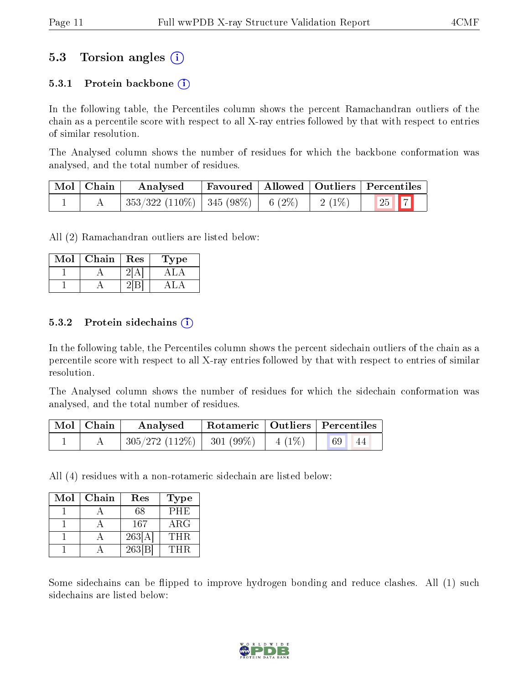### 5.3 Torsion angles (i)

#### 5.3.1 Protein backbone  $(i)$

In the following table, the Percentiles column shows the percent Ramachandran outliers of the chain as a percentile score with respect to all X-ray entries followed by that with respect to entries of similar resolution.

The Analysed column shows the number of residues for which the backbone conformation was analysed, and the total number of residues.

| Mol   Chain | Analysed                                 |  |          | Favoured   Allowed   Outliers   Percentiles |
|-------------|------------------------------------------|--|----------|---------------------------------------------|
|             | $353/322$ (110\%)   345 (98\%)   6 (2\%) |  | $2(1\%)$ | $\boxed{25}$ $\boxed{7}$                    |

All (2) Ramachandran outliers are listed below:

| $\operatorname{Mol}$ | Chain | Res | vpe |
|----------------------|-------|-----|-----|
|                      |       |     |     |
|                      |       |     |     |

#### 5.3.2 Protein sidechains  $(i)$

In the following table, the Percentiles column shows the percent sidechain outliers of the chain as a percentile score with respect to all X-ray entries followed by that with respect to entries of similar resolution.

The Analysed column shows the number of residues for which the sidechain conformation was analysed, and the total number of residues.

| $Mol$   Chain | Analysed                       | Rotameric   Outliers   Percentiles |          |    |    |
|---------------|--------------------------------|------------------------------------|----------|----|----|
|               | $305/272$ (112\%)   301 (99\%) |                                    | $4(1\%)$ | 69 | 44 |

All (4) residues with a non-rotameric sidechain are listed below:

| Mol | Chain | Res    | Type        |
|-----|-------|--------|-------------|
|     |       | 68     | <b>PHE</b>  |
|     |       | 167    | ${\rm ARG}$ |
|     |       | 263[A] | THR         |
|     |       | 263 B  | THR         |

Some sidechains can be flipped to improve hydrogen bonding and reduce clashes. All (1) such sidechains are listed below:

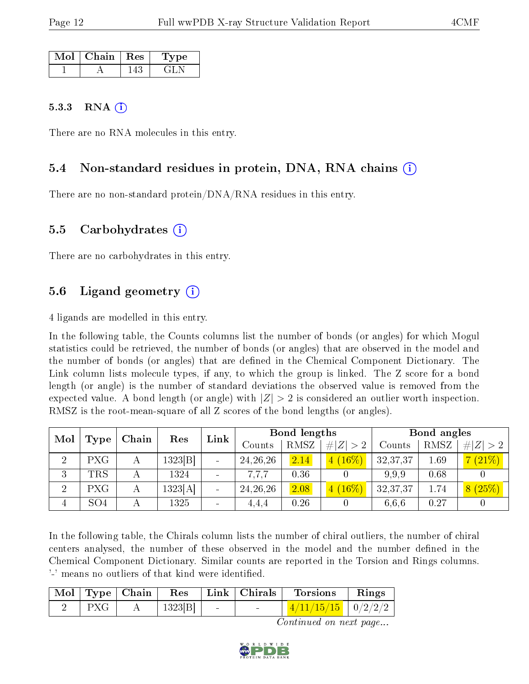| Mol | $\mid$ Chain $\mid$ Res | Type   |
|-----|-------------------------|--------|
|     |                         | . 21 . |

#### 5.3.3 RNA  $(i)$

There are no RNA molecules in this entry.

#### 5.4 Non-standard residues in protein, DNA, RNA chains (i)

There are no non-standard protein/DNA/RNA residues in this entry.

#### 5.5 Carbohydrates (i)

There are no carbohydrates in this entry.

#### 5.6 Ligand geometry (i)

4 ligands are modelled in this entry.

In the following table, the Counts columns list the number of bonds (or angles) for which Mogul statistics could be retrieved, the number of bonds (or angles) that are observed in the model and the number of bonds (or angles) that are dened in the Chemical Component Dictionary. The Link column lists molecule types, if any, to which the group is linked. The Z score for a bond length (or angle) is the number of standard deviations the observed value is removed from the expected value. A bond length (or angle) with  $|Z| > 2$  is considered an outlier worth inspection. RMSZ is the root-mean-square of all Z scores of the bond lengths (or angles).

| Mol            | Type       | Chain | Res     | Link                     | Bond lengths |      |                   | Bond angles |      |                         |
|----------------|------------|-------|---------|--------------------------|--------------|------|-------------------|-------------|------|-------------------------|
|                |            |       |         |                          | Counts       | RMSZ | # $ Z  > 2$       | Counts      | RMSZ | # $ Z  > 2$             |
| $\overline{2}$ | PXG        | А     | 1323 B  | $\sim$                   | 24, 26, 26   | 2.14 | $(16\%)$<br>$4^-$ | 32, 37, 37  | 1.69 | (21%)                   |
| 3              | TRS        |       | 1324    | $\overline{\phantom{a}}$ | 7,7,7        | 0.36 |                   | 9.9.9       | 0.68 |                         |
| $\overline{2}$ | <b>PXG</b> | А     | 1323[A] | $\sim$                   | 24, 26, 26   | 2.08 | $(16\%)$          | 32,37,37    | 1.74 | (25%)<br>8 <sub>1</sub> |
|                | SO4        |       | 1325    | ÷                        | 4.4.4        | 0.26 |                   | 6.6.6       | 0.27 |                         |

In the following table, the Chirals column lists the number of chiral outliers, the number of chiral centers analysed, the number of these observed in the model and the number defined in the Chemical Component Dictionary. Similar counts are reported in the Torsion and Rings columns. '-' means no outliers of that kind were identified.

|            | $\vert$ Mol $\vert$ Type $\vert$ Chain $\vert$ Res |        |        | $ $ Link $ $ Chirals | <b>Torsions</b>          | Rings |
|------------|----------------------------------------------------|--------|--------|----------------------|--------------------------|-------|
| $\rm P XG$ |                                                    | 1323 B | $\sim$ |                      | $1/11/15/15$   $0/2/2/2$ |       |

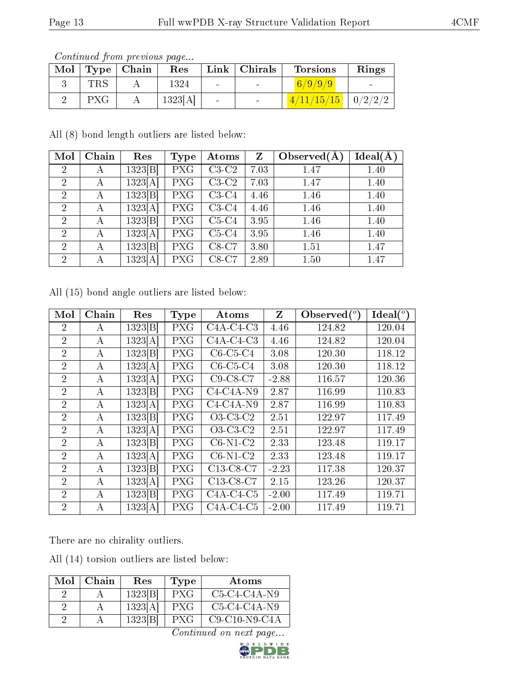Continued from previous page...

| Mol |            | Type   Chain | Res     |        | Link   Christmas         | <b>Torsions</b> | Rings          |
|-----|------------|--------------|---------|--------|--------------------------|-----------------|----------------|
|     | TRS        |              | 1324    | $\sim$ | <b>Contract Contract</b> | 6/9/9/9         |                |
|     | <b>PXG</b> |              | 1323[A] | $\sim$ | $\sim$                   | 4/11/15/15      | $\mid 0/2/2/2$ |

All (8) bond length outliers are listed below:

| Mol            | Chain | Res     | <b>Type</b> | Atoms   | Z    | Observed $(A)$ | $Ideal(\AA)$ |
|----------------|-------|---------|-------------|---------|------|----------------|--------------|
| $\overline{2}$ | А     | 1323 B  | <b>PXG</b>  | $C3-C2$ | 7.03 | 1.47           | 1.40         |
| $\overline{2}$ | А     | 1323[A] | <b>PXG</b>  | $C3-C2$ | 7.03 | 1.47           | 1.40         |
| $\overline{2}$ | А     | 1323 B  | <b>PXG</b>  | $C3-C4$ | 4.46 | 1.46           | 1.40         |
| $\overline{2}$ | А     | 1323[A] | <b>PXG</b>  | $C3-C4$ | 4.46 | 1.46           | 1.40         |
| $\overline{2}$ | А     | 1323 B  | <b>PXG</b>  | $C5-C4$ | 3.95 | 1.46           | 1.40         |
| $\overline{2}$ | А     | 1323[A] | <b>PXG</b>  | $C5-C4$ | 3.95 | 1.46           | 1.40         |
| $\overline{2}$ | А     | 1323 B  | <b>PXG</b>  | $C8-C7$ | 3.80 | 1.51           | 1.47         |
| $\overline{2}$ | А     | 1323[A] | <b>PXG</b>  | $C8-C7$ | 2.89 | 1.50           | 1.47         |

All (15) bond angle outliers are listed below:

| Mol            | Chain | Res     | <b>Type</b> | Atoms       | Z       | Observed $(°)$ | Ideal $(°)$ |
|----------------|-------|---------|-------------|-------------|---------|----------------|-------------|
| 2              | А     | 1323[B] | <b>PXG</b>  | $C4A-C4-C3$ | 4.46    | 124.82         | 120.04      |
| $\overline{2}$ | А     | 1323[A] | <b>PXG</b>  | $C4A-C4-C3$ | 4.46    | 124.82         | 120.04      |
| $\overline{2}$ | А     | 1323 B  | <b>PXG</b>  | $C6-C5-C4$  | 3.08    | 120.30         | 118.12      |
| $\overline{2}$ | А     | 1323[A] | <b>PXG</b>  | $C6-C5-C4$  | 3.08    | 120.30         | 118.12      |
| $\overline{2}$ | А     | 1323[A] | <b>PXG</b>  | $C9-C8-C7$  | $-2.88$ | 116.57         | 120.36      |
| $\overline{2}$ | А     | 1323 B  | <b>PXG</b>  | $C4-C4A-N9$ | 2.87    | 116.99         | 110.83      |
| $\overline{2}$ | А     | 1323[A] | <b>PXG</b>  | $C4-C4A-N9$ | 2.87    | 116.99         | 110.83      |
| $\overline{2}$ | А     | 1323 B  | <b>PXG</b>  | $O3-C3-C2$  | 2.51    | 122.97         | 117.49      |
| $\overline{2}$ | А     | 1323[A] | <b>PXG</b>  | $O3-C3-C2$  | 2.51    | 122.97         | 117.49      |
| $\overline{2}$ | А     | 1323 B  | <b>PXG</b>  | $C6-N1-C2$  | 2.33    | 123.48         | 119.17      |
| $\overline{2}$ | А     | 1323[A] | <b>PXG</b>  | $C6-N1-C2$  | 2.33    | 123.48         | 119.17      |
| $\overline{2}$ | А     | 1323 B  | <b>PXG</b>  | C13-C8-C7   | $-2.23$ | 117.38         | 120.37      |
| $\overline{2}$ | А     | 1323[A] | <b>PXG</b>  | C13-C8-C7   | 2.15    | 123.26         | 120.37      |
| $\overline{2}$ | А     | 1323 B  | <b>PXG</b>  | $C4A-C4-C5$ | $-2.00$ | 117.49         | 119.71      |
| $\overline{2}$ | А     | 1323[A] | PXG         | $C4A-C4-C5$ | $-2.00$ | 117.49         | 119.71      |

There are no chirality outliers.

All (14) torsion outliers are listed below:

| Mol   Chain | Res     | Type       | Atoms           |
|-------------|---------|------------|-----------------|
|             | 1323 B  | <b>PXG</b> | $C5-C4-C4A-N9$  |
|             | 1323[A] | PXG        | $C5-C4-C4A-N9$  |
|             | 1323[B] | PXG        | $C9-C10-N9-C4A$ |

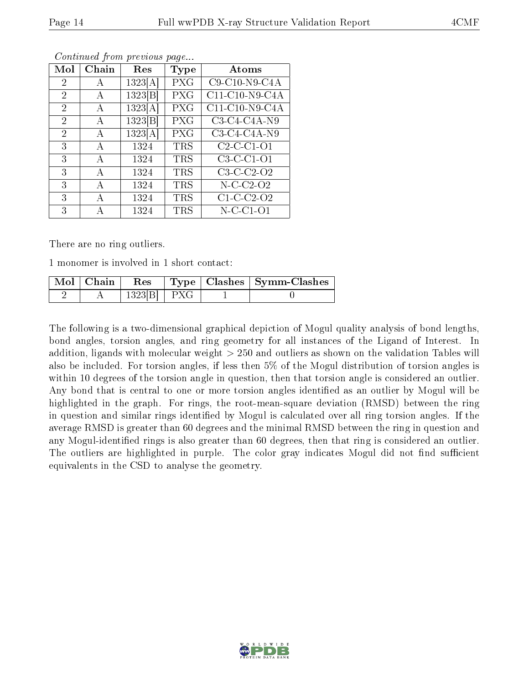| Mol            | Chain | Res     | Type       | Atoms           |
|----------------|-------|---------|------------|-----------------|
| 2              | А     | 1323[A] | PXG        | $C9-C10-N9-C4A$ |
| $\overline{2}$ | А     | 1323[B] | PXG        | C11-C10-N9-C4A  |
| $\overline{2}$ | А     | 1323[A] | PXG        | C11-C10-N9-C4A  |
| $\overline{2}$ | А     | 1323[B] | PXG        | $C3-C4-C4A-N9$  |
| $\overline{2}$ | А     | 1323[A] | PXG        | $C3-C4-C4A-N9$  |
| 3              | А     | 1324    | <b>TRS</b> | $C2-C1-01$      |
| 3              | А     | 1324    | <b>TRS</b> | $C3-C-C1-O1$    |
| 3              | A     | 1324    | <b>TRS</b> | $C3-C-C2-O2$    |
| 3              | А     | 1324    | <b>TRS</b> | $N-C-C2-O2$     |
| 3              | Α     | 1324    | <b>TRS</b> | $C1-C-C2-O2$    |
| 3              | А     | 1324    | <b>TRS</b> | $N$ -C-C1-O1    |

Continued from previous page...

There are no ring outliers.

1 monomer is involved in 1 short contact:

| $\mathrm{Mol}\mid\mathrm{Chain}$ | $\operatorname{Res}$ |  | $\mid$ Type $\mid$ Clashes $\mid$ Symm-Clashes |
|----------------------------------|----------------------|--|------------------------------------------------|
|                                  | $1323 B $ PXG        |  |                                                |

The following is a two-dimensional graphical depiction of Mogul quality analysis of bond lengths, bond angles, torsion angles, and ring geometry for all instances of the Ligand of Interest. In addition, ligands with molecular weight > 250 and outliers as shown on the validation Tables will also be included. For torsion angles, if less then 5% of the Mogul distribution of torsion angles is within 10 degrees of the torsion angle in question, then that torsion angle is considered an outlier. Any bond that is central to one or more torsion angles identified as an outlier by Mogul will be highlighted in the graph. For rings, the root-mean-square deviation (RMSD) between the ring in question and similar rings identified by Mogul is calculated over all ring torsion angles. If the average RMSD is greater than 60 degrees and the minimal RMSD between the ring in question and any Mogul-identified rings is also greater than 60 degrees, then that ring is considered an outlier. The outliers are highlighted in purple. The color gray indicates Mogul did not find sufficient equivalents in the CSD to analyse the geometry.

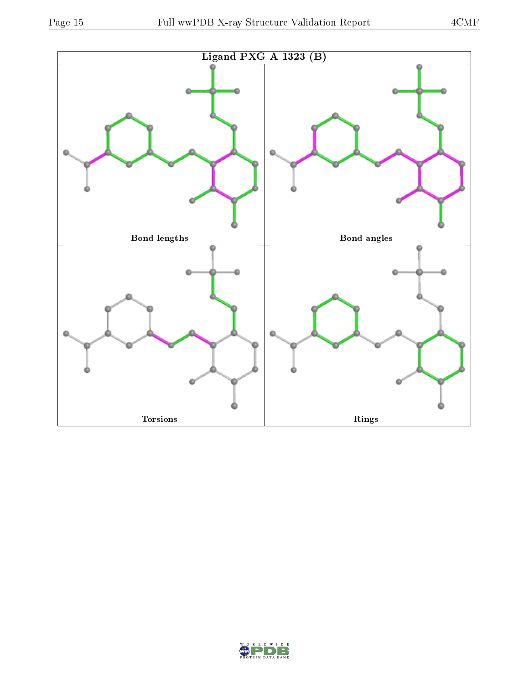

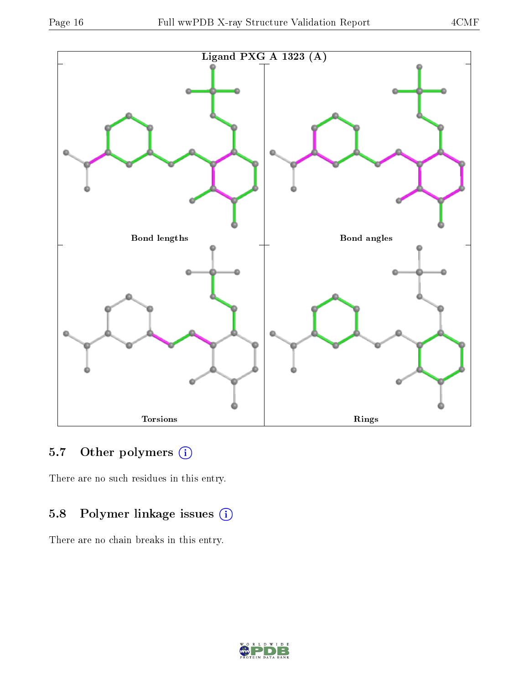

### 5.7 [O](https://www.wwpdb.org/validation/2017/XrayValidationReportHelp#nonstandard_residues_and_ligands)ther polymers (i)

There are no such residues in this entry.

### 5.8 Polymer linkage issues (i)

There are no chain breaks in this entry.

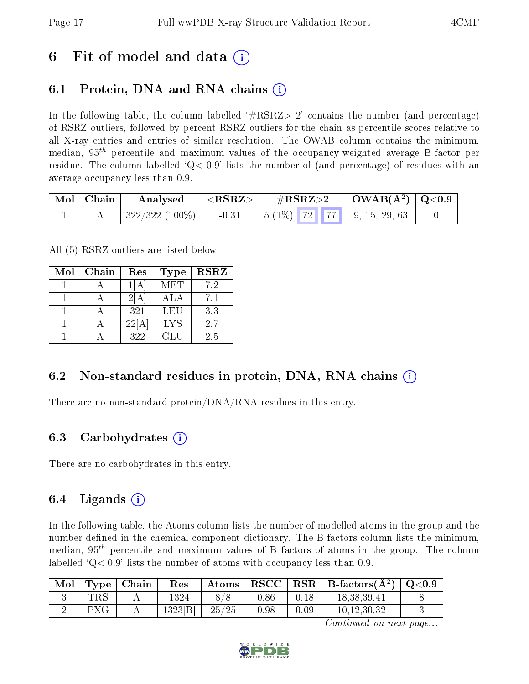## 6 Fit of model and data  $\left( \cdot \right)$

### 6.1 Protein, DNA and RNA chains (i)

In the following table, the column labelled  $#RSRZ>2'$  contains the number (and percentage) of RSRZ outliers, followed by percent RSRZ outliers for the chain as percentile scores relative to all X-ray entries and entries of similar resolution. The OWAB column contains the minimum, median,  $95<sup>th</sup>$  percentile and maximum values of the occupancy-weighted average B-factor per residue. The column labelled  $Q< 0.9$  lists the number of (and percentage) of residues with an average occupancy less than 0.9.

| Mol   Chain | Analysed       | ${ <\hspace{-1.5pt} {\rm RSRZ} \hspace{-1.5pt}>}$ | $\#\text{RSRZ}\text{>2}$ | $\mid$ OWAB(Å <sup>2</sup> ) $\mid$ Q<0.9 $\mid$ |  |
|-------------|----------------|---------------------------------------------------|--------------------------|--------------------------------------------------|--|
|             | 322/322 (100%) | $-0.31$                                           |                          |                                                  |  |

All (5) RSRZ outliers are listed below:

| Mol | Chain | Res   | <b>Type</b> | <b>RSRZ</b> |
|-----|-------|-------|-------------|-------------|
|     |       |       | <b>MET</b>  | 7.2         |
|     |       | 2IA   | <b>ALA</b>  | 7.1         |
|     |       | 321   | LEU         | 3.3         |
|     |       | 22[A] | <b>LYS</b>  | 2.7         |
|     |       | 322   | GLU         | 2.5         |

### 6.2 Non-standard residues in protein, DNA, RNA chains (i)

There are no non-standard protein/DNA/RNA residues in this entry.

#### 6.3 Carbohydrates (i)

There are no carbohydrates in this entry.

### 6.4 Ligands  $(i)$

In the following table, the Atoms column lists the number of modelled atoms in the group and the number defined in the chemical component dictionary. The B-factors column lists the minimum, median,  $95<sup>th</sup>$  percentile and maximum values of B factors of atoms in the group. The column labelled  $Q< 0.9$ ' lists the number of atoms with occupancy less than 0.9.

| Mol |     | $\mid$ Type $\mid$ Chain | Res    |       |      |      | Atoms   RSCC   RSR   B-factors $(A^2)$ | $\mid \text{Q} {<} 0.9$ |
|-----|-----|--------------------------|--------|-------|------|------|----------------------------------------|-------------------------|
|     | TRS |                          | 1324   |       | 0.86 | 0.18 | 18,38,39,41                            |                         |
|     | PXG |                          | 1323 B | 25/25 | 0.98 | 0.09 | 10,12,30,32                            |                         |

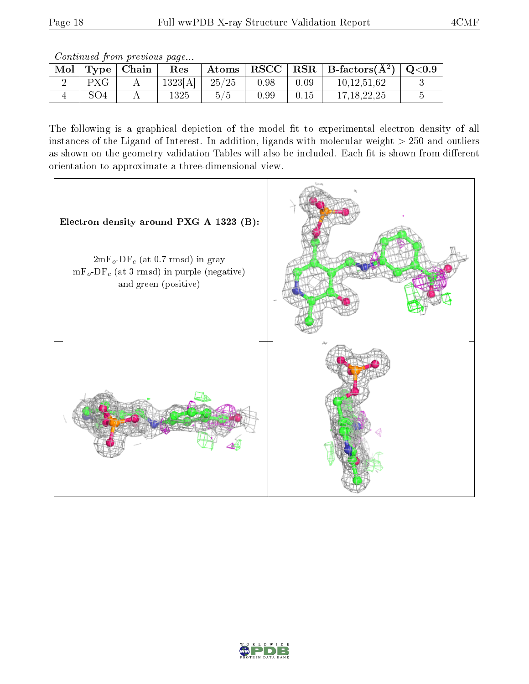Continued from previous page...

| Mol |     | Type   Chain | Res      | Atoms | $\mid$ RSCC $\mid$ |      | $ $ RSR $ $ B-factors( $A2$ ) | $\mid \text{Q} {<} 0.9$ |
|-----|-----|--------------|----------|-------|--------------------|------|-------------------------------|-------------------------|
|     | PXG |              | 1323[A]  | 25/25 | 0.98               | 0.09 | 10.12.51.62                   |                         |
|     | SO4 |              | $1325\,$ |       | 0.99               | 0.15 | 17, 18, 22, 25                |                         |

The following is a graphical depiction of the model fit to experimental electron density of all instances of the Ligand of Interest. In addition, ligands with molecular weight  $> 250$  and outliers as shown on the geometry validation Tables will also be included. Each fit is shown from different orientation to approximate a three-dimensional view.